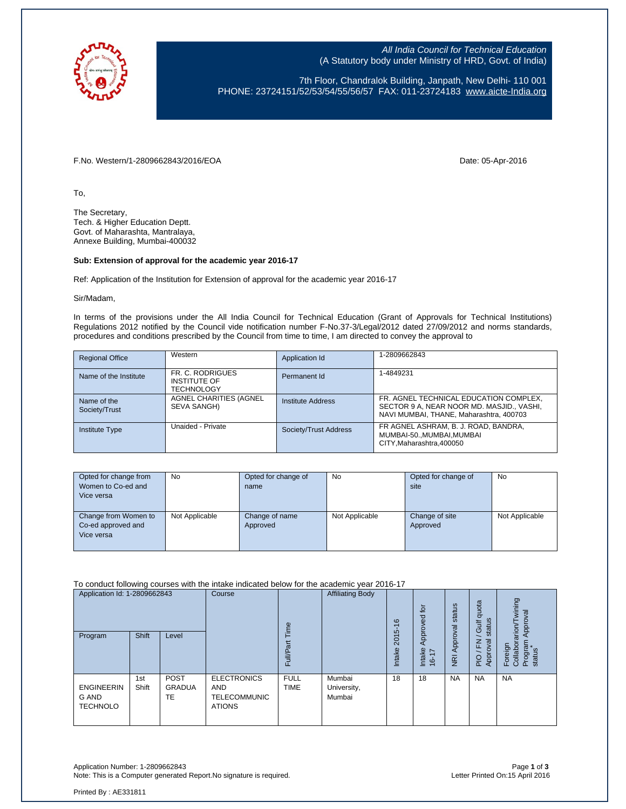

All India Council for Technical Education (A Statutory body under Ministry of HRD, Govt. of India)

7th Floor, Chandralok Building, Janpath, New Delhi- 110 001 PHONE: 23724151/52/53/54/55/56/57 FAX: 011-23724183 [www.aicte-India.org](http://www.aicte-india.org/)

F.No. Western/1-2809662843/2016/EOA Date: 05-Apr-2016

To,

The Secretary, Tech. & Higher Education Deptt. Govt. of Maharashta, Mantralaya, Annexe Building, Mumbai-400032

## **Sub: Extension of approval for the academic year 2016-17**

Ref: Application of the Institution for Extension of approval for the academic year 2016-17

Sir/Madam,

In terms of the provisions under the All India Council for Technical Education (Grant of Approvals for Technical Institutions) Regulations 2012 notified by the Council vide notification number F-No.37-3/Legal/2012 dated 27/09/2012 and norms standards, procedures and conditions prescribed by the Council from time to time, I am directed to convey the approval to

| <b>Regional Office</b>       | Western                                                      | Application Id        | 1-2809662843                                                                                                                   |
|------------------------------|--------------------------------------------------------------|-----------------------|--------------------------------------------------------------------------------------------------------------------------------|
| Name of the Institute        | FR. C. RODRIGUES<br><b>INSTITUTE OF</b><br><b>TECHNOLOGY</b> | Permanent Id          | 1-4849231                                                                                                                      |
| Name of the<br>Society/Trust | AGNEL CHARITIES (AGNEL<br>SEVA SANGH)                        | Institute Address     | FR. AGNEL TECHNICAL EDUCATION COMPLEX,<br>SECTOR 9 A, NEAR NOOR MD. MASJID., VASHI,<br>NAVI MUMBAI, THANE, Maharashtra, 400703 |
| <b>Institute Type</b>        | Unaided - Private                                            | Society/Trust Address | FR AGNEL ASHRAM, B. J. ROAD, BANDRA,<br>MUMBAI-50., MUMBAI, MUMBAI<br>CITY.Maharashtra.400050                                  |

| Opted for change from<br>Women to Co-ed and<br>Vice versa | No             | Opted for change of<br>name | No             | Opted for change of<br>site | No             |
|-----------------------------------------------------------|----------------|-----------------------------|----------------|-----------------------------|----------------|
| Change from Women to<br>Co-ed approved and<br>Vice versa  | Not Applicable | Change of name<br>Approved  | Not Applicable | Change of site<br>Approved  | Not Applicable |

To conduct following courses with the intake indicated below for the academic year 2016-17

| Application Id: 1-2809662843                  |              | Course                                    | ee                                                                       | <b>Affiliating Body</b>    |                                 | $\overline{c}$<br>Approved | status                                          | ota<br>콩<br>$\omega$<br>₹<br>tatu:<br>$\circ$ | wining<br>Approval<br>arion/T             |                                          |
|-----------------------------------------------|--------------|-------------------------------------------|--------------------------------------------------------------------------|----------------------------|---------------------------------|----------------------------|-------------------------------------------------|-----------------------------------------------|-------------------------------------------|------------------------------------------|
| Program                                       | <b>Shift</b> | Level                                     |                                                                          | ≣<br>ட                     |                                 | 2015-16<br>Intake          | Intake<br>$\overline{ }$<br>$\overline{ }$<br>غ | Approval<br>$\overline{R}$                    | $\omega$<br>준<br>pva<br>App<br><b>PIO</b> | Program<br>status<br>Collabor<br>Foreign |
| <b>ENGINEERIN</b><br>G AND<br><b>TECHNOLO</b> | 1st<br>Shift | <b>POST</b><br><b>GRADUA</b><br><b>TE</b> | <b>ELECTRONICS</b><br><b>AND</b><br><b>TELECOMMUNIC</b><br><b>ATIONS</b> | <b>FULL</b><br><b>TIME</b> | Mumbai<br>University,<br>Mumbai | 18                         | 18                                              | <b>NA</b>                                     | <b>NA</b>                                 | <b>NA</b>                                |

Application Number: 1-2809662843 Page **1** of **3** Note: This is a Computer generated Report.No signature is required.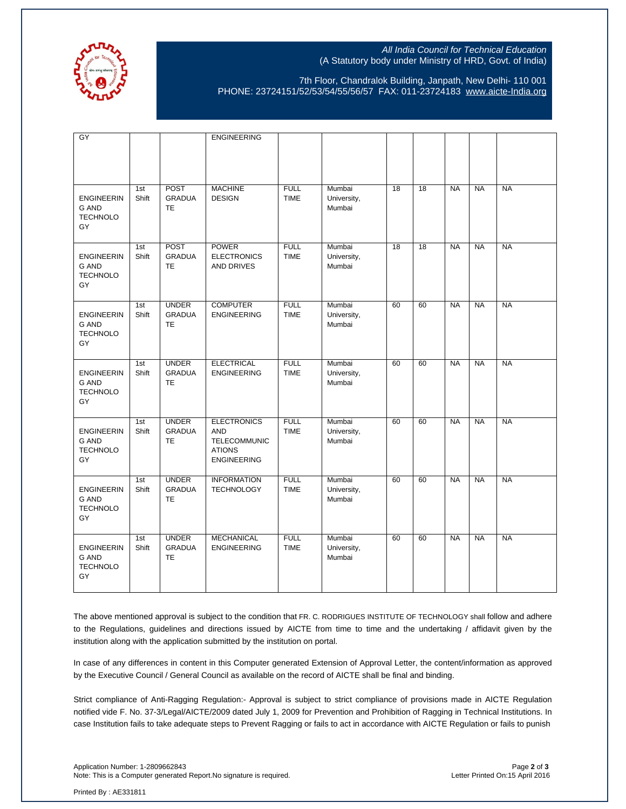

## All India Council for Technical Education (A Statutory body under Ministry of HRD, Govt. of India)

7th Floor, Chandralok Building, Janpath, New Delhi- 110 001 PHONE: 23724151/52/53/54/55/56/57 FAX: 011-23724183 [www.aicte-India.org](http://www.aicte-india.org/)

| GY                                                         |              |                                            | <b>ENGINEERING</b>                                                                             |                            |                                 |                 |                 |           |           |           |
|------------------------------------------------------------|--------------|--------------------------------------------|------------------------------------------------------------------------------------------------|----------------------------|---------------------------------|-----------------|-----------------|-----------|-----------|-----------|
| <b>ENGINEERIN</b><br><b>G AND</b><br><b>TECHNOLO</b><br>GY | 1st<br>Shift | <b>POST</b><br><b>GRADUA</b><br><b>TE</b>  | <b>MACHINE</b><br><b>DESIGN</b>                                                                | <b>FULL</b><br><b>TIME</b> | Mumbai<br>University,<br>Mumbai | 18              | 18              | <b>NA</b> | <b>NA</b> | <b>NA</b> |
| <b>ENGINEERIN</b><br><b>G AND</b><br><b>TECHNOLO</b><br>GY | 1st<br>Shift | POST<br><b>GRADUA</b><br><b>TE</b>         | <b>POWER</b><br><b>ELECTRONICS</b><br><b>AND DRIVES</b>                                        | <b>FULL</b><br><b>TIME</b> | Mumbai<br>University,<br>Mumbai | $\overline{18}$ | $\overline{18}$ | <b>NA</b> | <b>NA</b> | <b>NA</b> |
| <b>ENGINEERIN</b><br><b>G AND</b><br><b>TECHNOLO</b><br>GY | 1st<br>Shift | <b>UNDER</b><br><b>GRADUA</b><br><b>TE</b> | <b>COMPUTER</b><br><b>ENGINEERING</b>                                                          | <b>FULL</b><br><b>TIME</b> | Mumbai<br>University,<br>Mumbai | 60              | 60              | <b>NA</b> | <b>NA</b> | <b>NA</b> |
| <b>ENGINEERIN</b><br><b>G AND</b><br><b>TECHNOLO</b><br>GY | 1st<br>Shift | <b>UNDER</b><br><b>GRADUA</b><br>TE        | <b>ELECTRICAL</b><br><b>ENGINEERING</b>                                                        | <b>FULL</b><br><b>TIME</b> | Mumbai<br>University,<br>Mumbai | 60              | 60              | <b>NA</b> | <b>NA</b> | <b>NA</b> |
| <b>ENGINEERIN</b><br><b>G AND</b><br><b>TECHNOLO</b><br>GY | 1st<br>Shift | <b>UNDER</b><br><b>GRADUA</b><br><b>TE</b> | <b>ELECTRONICS</b><br><b>AND</b><br><b>TELECOMMUNIC</b><br><b>ATIONS</b><br><b>ENGINEERING</b> | <b>FULL</b><br><b>TIME</b> | Mumbai<br>University,<br>Mumbai | 60              | 60              | <b>NA</b> | <b>NA</b> | <b>NA</b> |
| <b>ENGINEERIN</b><br><b>G AND</b><br><b>TECHNOLO</b><br>GY | 1st<br>Shift | <b>UNDER</b><br><b>GRADUA</b><br>TE        | <b>INFORMATION</b><br><b>TECHNOLOGY</b>                                                        | <b>FULL</b><br><b>TIME</b> | Mumbai<br>University,<br>Mumbai | 60              | 60              | <b>NA</b> | <b>NA</b> | <b>NA</b> |
| <b>ENGINEERIN</b><br><b>G AND</b><br><b>TECHNOLO</b><br>GY | 1st<br>Shift | <b>UNDER</b><br><b>GRADUA</b><br><b>TE</b> | <b>MECHANICAL</b><br><b>ENGINEERING</b>                                                        | <b>FULL</b><br><b>TIME</b> | Mumbai<br>University,<br>Mumbai | 60              | 60              | <b>NA</b> | <b>NA</b> | <b>NA</b> |

The above mentioned approval is subject to the condition that FR. C. RODRIGUES INSTITUTE OF TECHNOLOGY shall follow and adhere to the Regulations, guidelines and directions issued by AICTE from time to time and the undertaking / affidavit given by the institution along with the application submitted by the institution on portal.

In case of any differences in content in this Computer generated Extension of Approval Letter, the content/information as approved by the Executive Council / General Council as available on the record of AICTE shall be final and binding.

Strict compliance of Anti-Ragging Regulation:- Approval is subject to strict compliance of provisions made in AICTE Regulation notified vide F. No. 37-3/Legal/AICTE/2009 dated July 1, 2009 for Prevention and Prohibition of Ragging in Technical Institutions. In case Institution fails to take adequate steps to Prevent Ragging or fails to act in accordance with AICTE Regulation or fails to punish